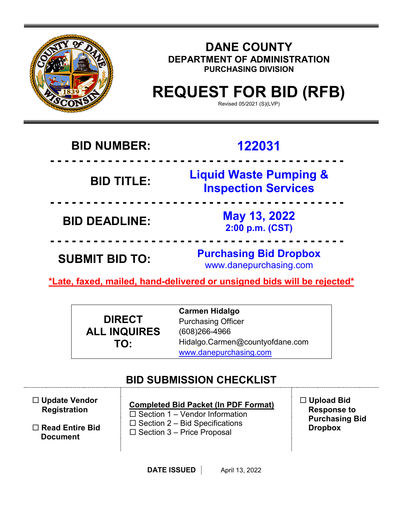

## **DANE COUNTY DEPARTMENT OF ADMINISTRATION PURCHASING DIVISION**

# **REQUEST FOR BID (RFB)**

Revised 05/2021 (S)(LVP)

## **BID NUMBER: 122031**

## **- - - - - - - - - - - - - - - - - - - - - - - - - - - - - - - - - - - - - - - - - BID TITLE: Liquid Waste Pumping & Inspection Services**

**BID DEADLINE: May 13, 2022 2:00 p.m. (CST)**

**SUBMIT BID TO: Purchasing Bid Dropbox** www.danepurchasing.com

**\*Late, faxed, mailed, hand-delivered or unsigned bids will be rejected\***

**- - - - - - - - - - - - - - - - - - - - - - - - - - - - - - - - - - - - - - - - -**

**- - - - - - - - - - - - - - - - - - - - - - - - - - - - - - - - - - - - - - - - -**

|                     | <b>Carmen Hidalgo</b>           |
|---------------------|---------------------------------|
| <b>DIRECT</b>       | <b>Purchasing Officer</b>       |
| <b>ALL INQUIRES</b> | $(608)266 - 4966$               |
| TO:                 | Hidalgo.Carmen@countyofdane.com |
|                     | www.danepurchasing.com          |

## **BID SUBMISSION CHECKLIST**

| $\Box$ Update Vendor<br><b>Registration</b> | <b>Completed Bid Packet (In PDF Format)</b><br>$\Box$ Section 1 – Vendor Information | $\Box$ Upload Bid<br><b>Response to</b><br><b>Purchasing Bid</b> |
|---------------------------------------------|--------------------------------------------------------------------------------------|------------------------------------------------------------------|
| $\Box$ Read Entire Bid<br><b>Document</b>   | $\Box$ Section 2 – Bid Specifications<br>$\Box$ Section 3 – Price Proposal           | <b>Dropbox</b>                                                   |
|                                             |                                                                                      |                                                                  |

**DATE ISSUED April 13, 2022**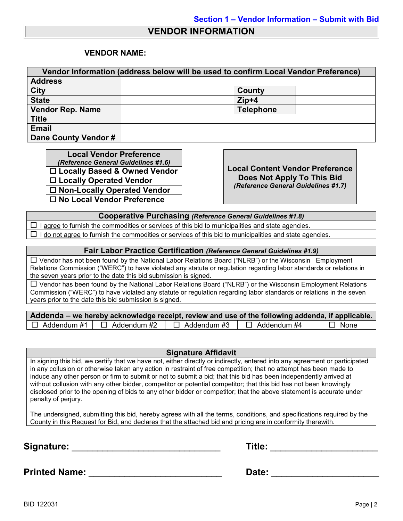### **VENDOR INFORMATION**

### **VENDOR NAME:**

| Vendor Information (address below will be used to confirm Local Vendor Preference) |                  |  |
|------------------------------------------------------------------------------------|------------------|--|
| <b>Address</b>                                                                     |                  |  |
| <b>City</b>                                                                        | County           |  |
| <b>State</b>                                                                       | $Zip+4$          |  |
| <b>Vendor Rep. Name</b>                                                            | <b>Telephone</b> |  |
| <b>Title</b>                                                                       |                  |  |
| <b>Email</b>                                                                       |                  |  |
| Dane County Vendor #                                                               |                  |  |

**Local Vendor Preference**<br>(*Reference General Guidelines #1.6*) *(Reference General Guidelines #1.6)* **Local Content Vendor Preference Locally Based & Owned Vendor Locally Operated Vendor Non-Locally Operated Vendor No Local Vendor Preference**

**Does Not Apply To This Bid** *(Reference General Guidelines #1.7)*

**Cooperative Purchasing** *(Reference General Guidelines #1.8)*

 $\Box$  I agree to furnish the commodities or services of this bid to municipalities and state agencies.  $\Box$  I do not agree to furnish the commodities or services of this bid to municipalities and state agencies.

#### **Fair Labor Practice Certification** *(Reference General Guidelines #1.9)*

 Vendor has not been found by the National Labor Relations Board ("NLRB") or the Wisconsin Employment Relations Commission ("WERC") to have violated any statute or regulation regarding labor standards or relations in the seven years prior to the date this bid submission is signed.

 $\Box$  Vendor has been found by the National Labor Relations Board ("NLRB") or the Wisconsin Employment Relations Commission ("WERC") to have violated any statute or regulation regarding labor standards or relations in the seven years prior to the date this bid submission is signed.

| Addenda – we hereby acknowledge receipt, review and use of the following addenda, if applicable. |                                       |                    |                    |             |
|--------------------------------------------------------------------------------------------------|---------------------------------------|--------------------|--------------------|-------------|
|                                                                                                  | $\Box$ Addendum #1 $\Box$ Addendum #2 | $\Box$ Addendum #3 | $\Box$ Addendum #4 | $\Box$ None |

### **Signature Affidavit**

In signing this bid, we certify that we have not, either directly or indirectly, entered into any agreement or participated in any collusion or otherwise taken any action in restraint of free competition; that no attempt has been made to induce any other person or firm to submit or not to submit a bid; that this bid has been independently arrived at without collusion with any other bidder, competitor or potential competitor; that this bid has not been knowingly disclosed prior to the opening of bids to any other bidder or competitor; that the above statement is accurate under penalty of perjury.

The undersigned, submitting this bid, hereby agrees with all the terms, conditions, and specifications required by the County in this Request for Bid, and declares that the attached bid and pricing are in conformity therewith.

**Signature:** \_\_\_\_\_\_\_\_\_\_\_\_\_\_\_\_\_\_\_\_\_\_\_\_\_\_\_\_\_ **Title:** \_\_\_\_\_\_\_\_\_\_\_\_\_\_\_\_\_\_\_\_\_

**Printed Name:** \_\_\_\_\_\_\_\_\_\_\_\_\_\_\_\_\_\_\_\_\_\_\_\_\_\_ **Date:** \_\_\_\_\_\_\_\_\_\_\_\_\_\_\_\_\_\_\_\_\_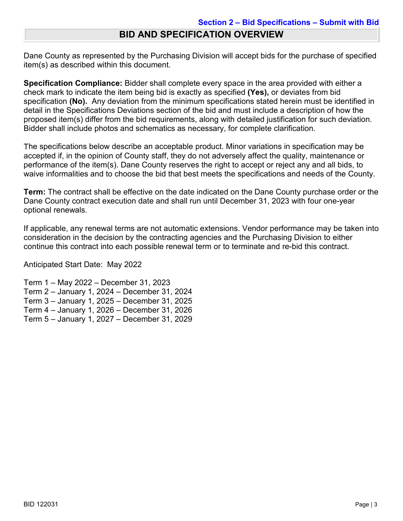## **BID AND SPECIFICATION OVERVIEW**

Dane County as represented by the Purchasing Division will accept bids for the purchase of specified item(s) as described within this document.

**Specification Compliance:** Bidder shall complete every space in the area provided with either a check mark to indicate the item being bid is exactly as specified **(Yes),** or deviates from bid specification **(No).** Any deviation from the minimum specifications stated herein must be identified in detail in the Specifications Deviations section of the bid and must include a description of how the proposed item(s) differ from the bid requirements, along with detailed justification for such deviation. Bidder shall include photos and schematics as necessary, for complete clarification.

The specifications below describe an acceptable product. Minor variations in specification may be accepted if, in the opinion of County staff, they do not adversely affect the quality, maintenance or performance of the item(s). Dane County reserves the right to accept or reject any and all bids, to waive informalities and to choose the bid that best meets the specifications and needs of the County.

**Term:** The contract shall be effective on the date indicated on the Dane County purchase order or the Dane County contract execution date and shall run until December 31, 2023 with four one-year optional renewals.

If applicable, any renewal terms are not automatic extensions. Vendor performance may be taken into consideration in the decision by the contracting agencies and the Purchasing Division to either continue this contract into each possible renewal term or to terminate and re-bid this contract.

Anticipated Start Date: May 2022

Term 1 – May 2022 – December 31, 2023 Term 2 – January 1, 2024 – December 31, 2024 Term 3 – January 1, 2025 – December 31, 2025 Term 4 – January 1, 2026 – December 31, 2026 Term 5 – January 1, 2027 – December 31, 2029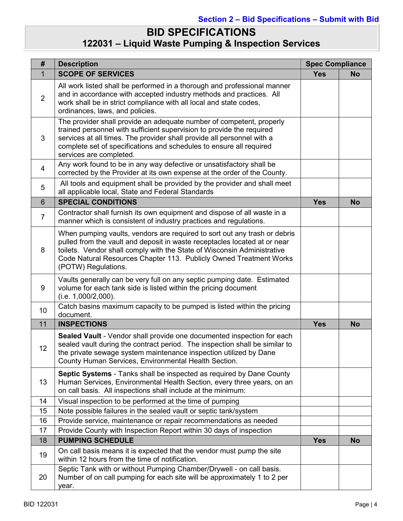## **BID SPECIFICATIONS 122031 – Liquid Waste Pumping & Inspection Services**

| #              | <b>Spec Compliance</b><br><b>Description</b>                                                                                                                                                                                                                                                                                   |            |           |
|----------------|--------------------------------------------------------------------------------------------------------------------------------------------------------------------------------------------------------------------------------------------------------------------------------------------------------------------------------|------------|-----------|
| $\mathbf{1}$   | <b>SCOPE OF SERVICES</b>                                                                                                                                                                                                                                                                                                       | <b>Yes</b> | <b>No</b> |
| $\overline{2}$ | All work listed shall be performed in a thorough and professional manner<br>and in accordance with accepted industry methods and practices. All<br>work shall be in strict compliance with all local and state codes,<br>ordinances, laws, and policies.                                                                       |            |           |
| 3              | The provider shall provide an adequate number of competent, properly<br>trained personnel with sufficient supervision to provide the required<br>services at all times. The provider shall provide all personnel with a<br>complete set of specifications and schedules to ensure all required<br>services are completed.      |            |           |
| 4              | Any work found to be in any way defective or unsatisfactory shall be<br>corrected by the Provider at its own expense at the order of the County.                                                                                                                                                                               |            |           |
| 5              | All tools and equipment shall be provided by the provider and shall meet<br>all applicable local, State and Federal Standards                                                                                                                                                                                                  |            |           |
| 6              | <b>SPECIAL CONDITIONS</b>                                                                                                                                                                                                                                                                                                      | <b>Yes</b> | <b>No</b> |
| $\overline{7}$ | Contractor shall furnish its own equipment and dispose of all waste in a<br>manner which is consistent of industry practices and regulations.                                                                                                                                                                                  |            |           |
| 8              | When pumping vaults, vendors are required to sort out any trash or debris<br>pulled from the vault and deposit in waste receptacles located at or near<br>toilets. Vendor shall comply with the State of Wisconsin Administrative<br>Code Natural Resources Chapter 113. Publicly Owned Treatment Works<br>(POTW) Regulations. |            |           |
| 9              | Vaults generally can be very full on any septic pumping date. Estimated<br>volume for each tank side is listed within the pricing document<br>(i.e. 1,000/2,000).                                                                                                                                                              |            |           |
| 10             | Catch basins maximum capacity to be pumped is listed within the pricing<br>document.                                                                                                                                                                                                                                           |            |           |
| 11             | <b>INSPECTIONS</b>                                                                                                                                                                                                                                                                                                             | <b>Yes</b> | <b>No</b> |
| 12             | Sealed Vault - Vendor shall provide one documented inspection for each<br>sealed vault during the contract period. The inspection shall be similar to<br>the private sewage system maintenance inspection utilized by Dane<br>County Human Services, Environmental Health Section.                                             |            |           |
| 13             | Septic Systems - Tanks shall be inspected as required by Dane County<br>Human Services, Environmental Health Section, every three years, on an<br>on call basis. All inspections shall include at the minimum:                                                                                                                 |            |           |
| 14             | Visual inspection to be performed at the time of pumping                                                                                                                                                                                                                                                                       |            |           |
| 15             | Note possible failures in the sealed vault or septic tank/system                                                                                                                                                                                                                                                               |            |           |
| 16             | Provide service, maintenance or repair recommendations as needed                                                                                                                                                                                                                                                               |            |           |
| 17             | Provide County with Inspection Report within 30 days of inspection                                                                                                                                                                                                                                                             |            |           |
| 18             | <b>PUMPING SCHEDULE</b>                                                                                                                                                                                                                                                                                                        | <b>Yes</b> | <b>No</b> |
| 19             | On call basis means it is expected that the vendor must pump the site<br>within 12 hours from the time of notification.                                                                                                                                                                                                        |            |           |
| 20             | Septic Tank with or without Pumping Chamber/Drywell - on call basis.<br>Number of on call pumping for each site will be approximately 1 to 2 per<br>year.                                                                                                                                                                      |            |           |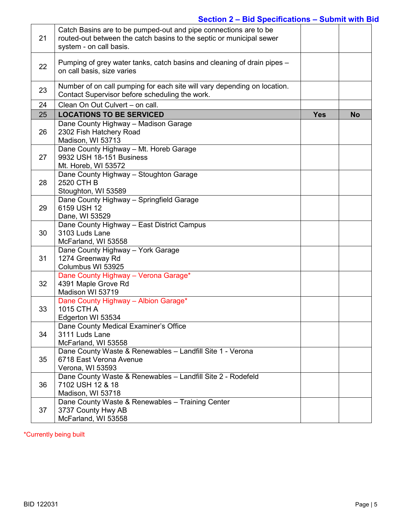## **Section 2 – Bid Specifications – Submit with Bid**

| 21 | Catch Basins are to be pumped-out and pipe connections are to be<br>routed-out between the catch basins to the septic or municipal sewer<br>system - on call basis. |            |           |
|----|---------------------------------------------------------------------------------------------------------------------------------------------------------------------|------------|-----------|
| 22 | Pumping of grey water tanks, catch basins and cleaning of drain pipes –<br>on call basis, size varies                                                               |            |           |
| 23 | Number of on call pumping for each site will vary depending on location.<br>Contact Supervisor before scheduling the work.                                          |            |           |
| 24 | Clean On Out Culvert - on call.                                                                                                                                     |            |           |
| 25 | <b>LOCATIONS TO BE SERVICED</b>                                                                                                                                     | <b>Yes</b> | <b>No</b> |
| 26 | Dane County Highway - Madison Garage<br>2302 Fish Hatchery Road<br>Madison, WI 53713                                                                                |            |           |
| 27 | Dane County Highway - Mt. Horeb Garage<br>9932 USH 18-151 Business<br>Mt. Horeb, WI 53572                                                                           |            |           |
| 28 | Dane County Highway - Stoughton Garage<br>2520 CTH B<br>Stoughton, WI 53589                                                                                         |            |           |
| 29 | Dane County Highway - Springfield Garage<br>6159 USH 12<br>Dane, WI 53529                                                                                           |            |           |
| 30 | Dane County Highway - East District Campus<br>3103 Luds Lane<br>McFarland, WI 53558                                                                                 |            |           |
| 31 | Dane County Highway - York Garage<br>1274 Greenway Rd<br>Columbus WI 53925                                                                                          |            |           |
| 32 | Dane County Highway - Verona Garage*<br>4391 Maple Grove Rd<br>Madison WI 53719                                                                                     |            |           |
| 33 | Dane County Highway - Albion Garage*<br>1015 CTH A<br>Edgerton WI 53534                                                                                             |            |           |
| 34 | Dane County Medical Examiner's Office<br>3111 Luds Lane<br>McFarland, WI 53558                                                                                      |            |           |
| 35 | Dane County Waste & Renewables - Landfill Site 1 - Verona<br>6718 East Verona Avenue<br>Verona, WI 53593                                                            |            |           |
| 36 | Dane County Waste & Renewables - Landfill Site 2 - Rodefeld<br>7102 USH 12 & 18<br>Madison, WI 53718                                                                |            |           |
| 37 | Dane County Waste & Renewables - Training Center<br>3737 County Hwy AB<br>McFarland, WI 53558                                                                       |            |           |

\*Currently being built